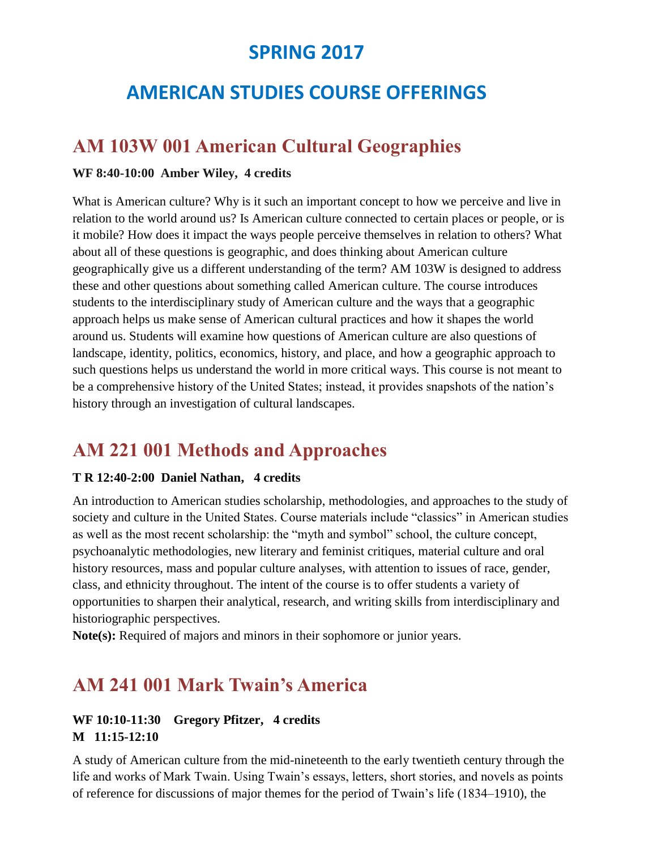## **SPRING 2017**

# **AMERICAN STUDIES COURSE OFFERINGS**

### **AM 103W 001 American Cultural Geographies**

#### **WF 8:40-10:00 Amber Wiley, 4 credits**

What is American culture? Why is it such an important concept to how we perceive and live in relation to the world around us? Is American culture connected to certain places or people, or is it mobile? How does it impact the ways people perceive themselves in relation to others? What about all of these questions is geographic, and does thinking about American culture geographically give us a different understanding of the term? AM 103W is designed to address these and other questions about something called American culture. The course introduces students to the interdisciplinary study of American culture and the ways that a geographic approach helps us make sense of American cultural practices and how it shapes the world around us. Students will examine how questions of American culture are also questions of landscape, identity, politics, economics, history, and place, and how a geographic approach to such questions helps us understand the world in more critical ways. This course is not meant to be a comprehensive history of the United States; instead, it provides snapshots of the nation's history through an investigation of cultural landscapes.

### **AM 221 001 Methods and Approaches**

#### **T R 12:40-2:00 Daniel Nathan, 4 credits**

An introduction to American studies scholarship, methodologies, and approaches to the study of society and culture in the United States. Course materials include "classics" in American studies as well as the most recent scholarship: the "myth and symbol" school, the culture concept, psychoanalytic methodologies, new literary and feminist critiques, material culture and oral history resources, mass and popular culture analyses, with attention to issues of race, gender, class, and ethnicity throughout. The intent of the course is to offer students a variety of opportunities to sharpen their analytical, research, and writing skills from interdisciplinary and historiographic perspectives.

**Note(s):** Required of majors and minors in their sophomore or junior years.

### **AM 241 001 Mark Twain's America**

#### **WF 10:10-11:30 Gregory Pfitzer, 4 credits M 11:15-12:10**

A study of American culture from the mid-nineteenth to the early twentieth century through the life and works of Mark Twain. Using Twain's essays, letters, short stories, and novels as points of reference for discussions of major themes for the period of Twain's life (1834–1910), the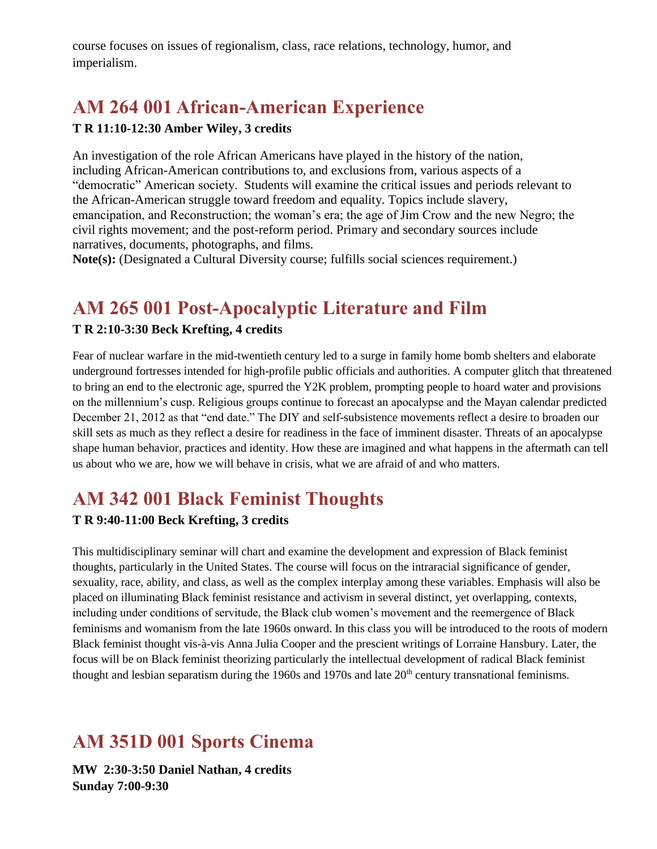course focuses on issues of regionalism, class, race relations, technology, humor, and imperialism.

# **AM 264 001 African-American Experience**

#### **T R 11:10-12:30 Amber Wiley, 3 credits**

An investigation of the role African Americans have played in the history of the nation, including African-American contributions to, and exclusions from, various aspects of a "democratic" American society. Students will examine the critical issues and periods relevant to the African-American struggle toward freedom and equality. Topics include slavery, emancipation, and Reconstruction; the woman's era; the age of Jim Crow and the new Negro; the civil rights movement; and the post-reform period. Primary and secondary sources include narratives, documents, photographs, and films.

**Note(s):** (Designated a Cultural Diversity course; fulfills social sciences requirement.)

## **AM 265 001 Post-Apocalyptic Literature and Film**

#### **T R 2:10-3:30 Beck Krefting, 4 credits**

Fear of nuclear warfare in the mid-twentieth century led to a surge in family home bomb shelters and elaborate underground fortresses intended for high-profile public officials and authorities. A computer glitch that threatened to bring an end to the electronic age, spurred the Y2K problem, prompting people to hoard water and provisions on the millennium's cusp. Religious groups continue to forecast an apocalypse and the Mayan calendar predicted December 21, 2012 as that "end date." The DIY and self-subsistence movements reflect a desire to broaden our skill sets as much as they reflect a desire for readiness in the face of imminent disaster. Threats of an apocalypse shape human behavior, practices and identity. How these are imagined and what happens in the aftermath can tell us about who we are, how we will behave in crisis, what we are afraid of and who matters.

## **AM 342 001 Black Feminist Thoughts**

#### **T R 9:40-11:00 Beck Krefting, 3 credits**

This multidisciplinary seminar will chart and examine the development and expression of Black feminist thoughts, particularly in the United States. The course will focus on the intraracial significance of gender, sexuality, race, ability, and class, as well as the complex interplay among these variables. Emphasis will also be placed on illuminating Black feminist resistance and activism in several distinct, yet overlapping, contexts, including under conditions of servitude, the Black club women's movement and the reemergence of Black feminisms and womanism from the late 1960s onward. In this class you will be introduced to the roots of modern Black feminist thought vis-à-vis Anna Julia Cooper and the prescient writings of Lorraine Hansbury. Later, the focus will be on Black feminist theorizing particularly the intellectual development of radical Black feminist thought and lesbian separatism during the 1960s and 1970s and late  $20<sup>th</sup>$  century transnational feminisms.

## **AM 351D 001 Sports Cinema**

**MW 2:30-3:50 Daniel Nathan, 4 credits Sunday 7:00-9:30**